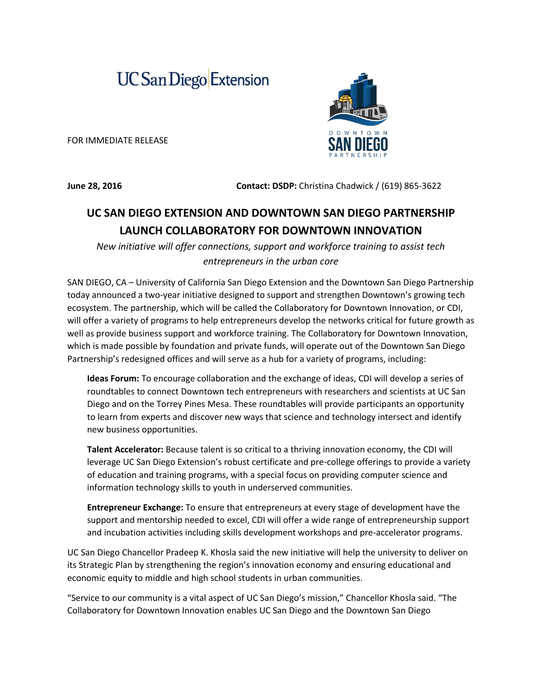## **UC San Diego** Extension

FOR IMMEDIATE RELEASE

**June 28, 2016** Contact: DSDP: Christina Chadwick / (619) 865-3622

## **UC SAN DIEGO EXTENSION AND DOWNTOWN SAN DIEGO PARTNERSHIP LAUNCH COLLABORATORY FOR DOWNTOWN INNOVATION**

*New initiative will offer connections, support and workforce training to assist tech entrepreneurs in the urban core*

SAN DIEGO, CA – University of California San Diego Extension and the Downtown San Diego Partnership today announced a two-year initiative designed to support and strengthen Downtown's growing tech ecosystem. The partnership, which will be called the Collaboratory for Downtown Innovation, or CDI, will offer a variety of programs to help entrepreneurs develop the networks critical for future growth as well as provide business support and workforce training. The Collaboratory for Downtown Innovation, which is made possible by foundation and private funds, will operate out of the Downtown San Diego Partnership's redesigned offices and will serve as a hub for a variety of programs, including:

**Ideas Forum:** To encourage collaboration and the exchange of ideas, CDI will develop a series of roundtables to connect Downtown tech entrepreneurs with researchers and scientists at UC San Diego and on the Torrey Pines Mesa. These roundtables will provide participants an opportunity to learn from experts and discover new ways that science and technology intersect and identify new business opportunities.

**Talent Accelerator:** Because talent is so critical to a thriving innovation economy, the CDI will leverage UC San Diego Extension's robust certificate and pre-college offerings to provide a variety of education and training programs, with a special focus on providing computer science and information technology skills to youth in underserved communities.

**Entrepreneur Exchange:** To ensure that entrepreneurs at every stage of development have the support and mentorship needed to excel, CDI will offer a wide range of entrepreneurship support and incubation activities including skills development workshops and pre-accelerator programs.

UC San Diego Chancellor Pradeep K. Khosla said the new initiative will help the university to deliver on its Strategic Plan by strengthening the region's innovation economy and ensuring educational and economic equity to middle and high school students in urban communities.

"Service to our community is a vital aspect of UC San Diego's mission," Chancellor Khosla said. "The Collaboratory for Downtown Innovation enables UC San Diego and the Downtown San Diego